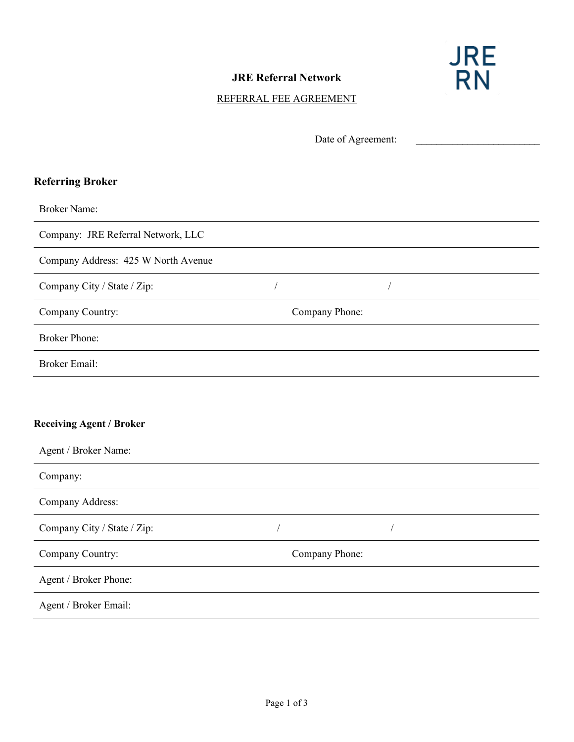

## **JRE Referral Network**

## REFERRAL FEE AGREEMENT

|                                     | Date of Agreement: |            |  |
|-------------------------------------|--------------------|------------|--|
|                                     |                    |            |  |
| <b>Referring Broker</b>             |                    |            |  |
| <b>Broker Name:</b>                 |                    |            |  |
| Company: JRE Referral Network, LLC  |                    |            |  |
| Company Address: 425 W North Avenue |                    |            |  |
| Company City / State / Zip:         | $\sqrt{2}$         | $\sqrt{2}$ |  |
| Company Country:                    | Company Phone:     |            |  |
| <b>Broker Phone:</b>                |                    |            |  |
| <b>Broker Email:</b>                |                    |            |  |
|                                     |                    |            |  |
| <b>Receiving Agent / Broker</b>     |                    |            |  |
| Agent / Broker Name:                |                    |            |  |
| Company:                            |                    |            |  |
| Company Address:                    |                    |            |  |
| Company City / State / Zip:         | $\sqrt{2}$         | Т          |  |
| Company Country:                    | Company Phone:     |            |  |
| Agent / Broker Phone:               |                    |            |  |
| Agent / Broker Email:               |                    |            |  |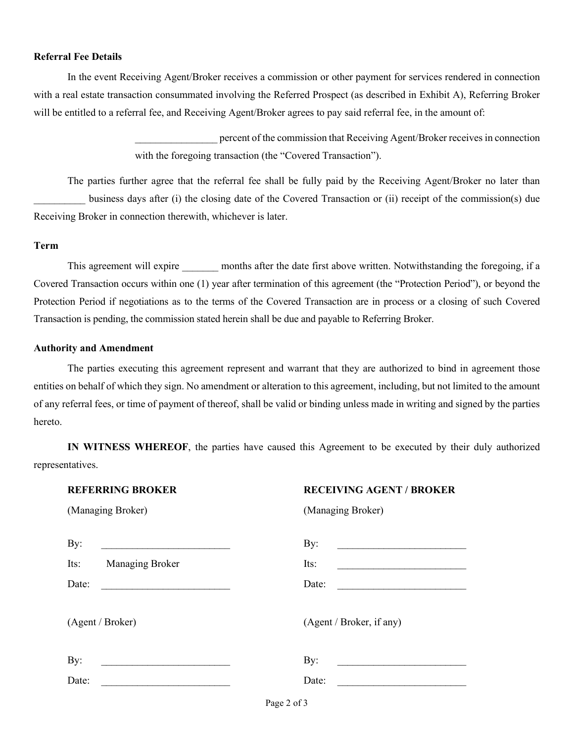#### **Referral Fee Details**

In the event Receiving Agent/Broker receives a commission or other payment for services rendered in connection with a real estate transaction consummated involving the Referred Prospect (as described in Exhibit A), Referring Broker will be entitled to a referral fee, and Receiving Agent/Broker agrees to pay said referral fee, in the amount of:

> percent of the commission that Receiving Agent/Broker receives in connection with the foregoing transaction (the "Covered Transaction").

The parties further agree that the referral fee shall be fully paid by the Receiving Agent/Broker no later than business days after (i) the closing date of the Covered Transaction or (ii) receipt of the commission(s) due Receiving Broker in connection therewith, whichever is later.

#### **Term**

This agreement will expire months after the date first above written. Notwithstanding the foregoing, if a Covered Transaction occurs within one (1) year after termination of this agreement (the "Protection Period"), or beyond the Protection Period if negotiations as to the terms of the Covered Transaction are in process or a closing of such Covered Transaction is pending, the commission stated herein shall be due and payable to Referring Broker.

#### **Authority and Amendment**

The parties executing this agreement represent and warrant that they are authorized to bind in agreement those entities on behalf of which they sign. No amendment or alteration to this agreement, including, but not limited to the amount of any referral fees, or time of payment of thereof, shall be valid or binding unless made in writing and signed by the parties hereto.

**IN WITNESS WHEREOF**, the parties have caused this Agreement to be executed by their duly authorized representatives.

### **REFERRING BROKER RECEIVING AGENT / BROKER**

| (Managing Broker) |  |  |
|-------------------|--|--|
|-------------------|--|--|

| (Managing Broker) | (Managing Broker) |
|-------------------|-------------------|
|                   |                   |

| By:                     | By:                                                         |
|-------------------------|-------------------------------------------------------------|
| Its:<br>Managing Broker | Its:                                                        |
| Date:                   | Date:                                                       |
| (Agent / Broker)        | (Agent / Broker, if any)                                    |
| By:                     | By:<br><u> 1980 - Jan Barbarat, prima politik politik (</u> |
| Date:                   | Date:                                                       |